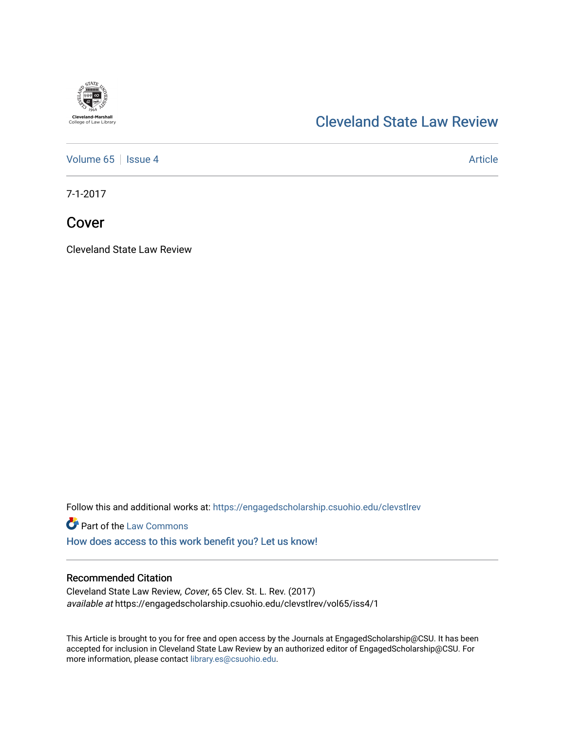

## [Cleveland State Law Review](https://engagedscholarship.csuohio.edu/clevstlrev)

[Volume 65](https://engagedscholarship.csuohio.edu/clevstlrev/vol65) | [Issue 4](https://engagedscholarship.csuohio.edu/clevstlrev/vol65/iss4) Article

7-1-2017

Cover

Cleveland State Law Review

Follow this and additional works at: [https://engagedscholarship.csuohio.edu/clevstlrev](https://engagedscholarship.csuohio.edu/clevstlrev?utm_source=engagedscholarship.csuohio.edu%2Fclevstlrev%2Fvol65%2Fiss4%2F1&utm_medium=PDF&utm_campaign=PDFCoverPages)

**Part of the [Law Commons](http://network.bepress.com/hgg/discipline/578?utm_source=engagedscholarship.csuohio.edu%2Fclevstlrev%2Fvol65%2Fiss4%2F1&utm_medium=PDF&utm_campaign=PDFCoverPages)** 

[How does access to this work benefit you? Let us know!](http://library.csuohio.edu/engaged/)

## Recommended Citation

Cleveland State Law Review, Cover, 65 Clev. St. L. Rev. (2017) available at https://engagedscholarship.csuohio.edu/clevstlrev/vol65/iss4/1

This Article is brought to you for free and open access by the Journals at EngagedScholarship@CSU. It has been accepted for inclusion in Cleveland State Law Review by an authorized editor of EngagedScholarship@CSU. For more information, please contact [library.es@csuohio.edu](mailto:library.es@csuohio.edu).